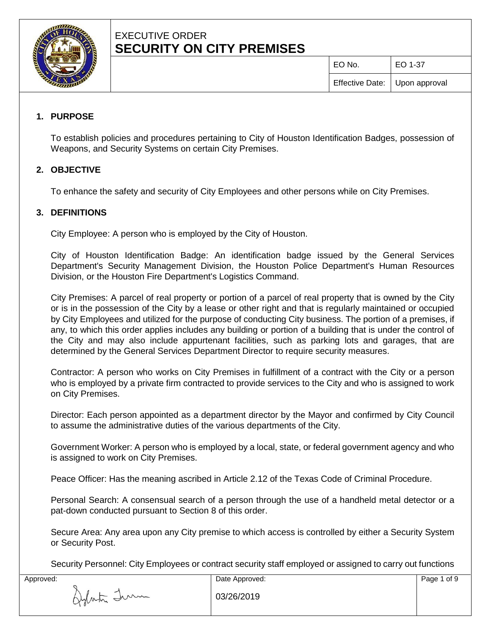

# EXECUTIVE ORDER **SECURITY ON CITY PREMISES**

EO No. EO 1-37

# **1. PURPOSE**

To establish policies and procedures pertaining to City of Houston Identification Badges, possession of Weapons, and Security Systems on certain City Premises.

# **2. OBJECTIVE**

To enhance the safety and security of City Employees and other persons while on City Premises.

# **3. DEFINITIONS**

City Employee: A person who is employed by the City of Houston.

City of Houston Identification Badge: An identification badge issued by the General Services Department's Security Management Division, the Houston Police Department's Human Resources Division, or the Houston Fire Department's Logistics Command.

City Premises: A parcel of real property or portion of a parcel of real property that is owned by the City or is in the possession of the City by a lease or other right and that is regularly maintained or occupied by City Employees and utilized for the purpose of conducting City business. The portion of a premises, if any, to which this order applies includes any building or portion of a building that is under the control of the City and may also include appurtenant facilities, such as parking lots and garages, that are determined by the General Services Department Director to require security measures.

Contractor: A person who works on City Premises in fulfillment of a contract with the City or a person who is employed by a private firm contracted to provide services to the City and who is assigned to work on City Premises.

Director: Each person appointed as a department director by the Mayor and confirmed by City Council to assume the administrative duties of the various departments of the City.

Government Worker: A person who is employed by a local, state, or federal government agency and who is assigned to work on City Premises.

Peace Officer: Has the meaning ascribed in Article 2.12 of the Texas Code of Criminal Procedure.

Personal Search: A consensual search of a person through the use of a handheld metal detector or a pat-down conducted pursuant to Section 8 of this order.

Secure Area: Any area upon any City premise to which access is controlled by either a Security System or Security Post.

Security Personnel: City Employees or contract security staff employed or assigned to carry out functions

| Approved:   | Date Approved: | Page 1 of 9 |
|-------------|----------------|-------------|
| Aylasta Imm | 03/26/2019     |             |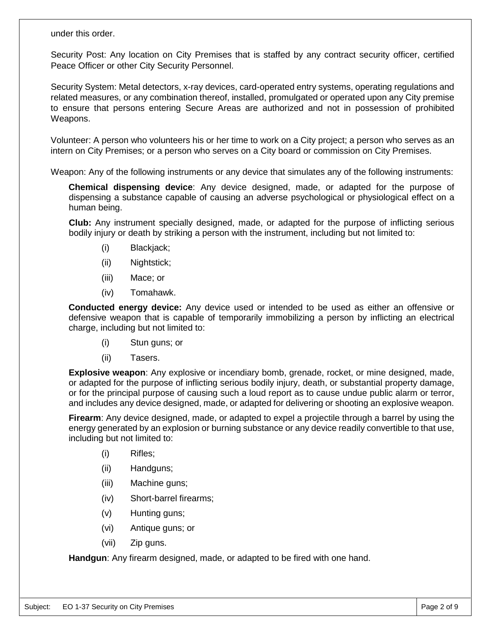#### under this order.

Security Post: Any location on City Premises that is staffed by any contract security officer, certified Peace Officer or other City Security Personnel.

Security System: Metal detectors, x-ray devices, card-operated entry systems, operating regulations and related measures, or any combination thereof, installed, promulgated or operated upon any City premise to ensure that persons entering Secure Areas are authorized and not in possession of prohibited Weapons.

Volunteer: A person who volunteers his or her time to work on a City project; a person who serves as an intern on City Premises; or a person who serves on a City board or commission on City Premises.

Weapon: Any of the following instruments or any device that simulates any of the following instruments:

**Chemical dispensing device**: Any device designed, made, or adapted for the purpose of dispensing a substance capable of causing an adverse psychological or physiological effect on a human being.

**Club:** Any instrument specially designed, made, or adapted for the purpose of inflicting serious bodily injury or death by striking a person with the instrument, including but not limited to:

- (i) Blackjack;
- (ii) Nightstick;
- (iii) Mace; or
- (iv) Tomahawk.

**Conducted energy device:** Any device used or intended to be used as either an offensive or defensive weapon that is capable of temporarily immobilizing a person by inflicting an electrical charge, including but not limited to:

- (i) Stun guns; or
- (ii) Tasers.

**Explosive weapon**: Any explosive or incendiary bomb, grenade, rocket, or mine designed, made, or adapted for the purpose of inflicting serious bodily injury, death, or substantial property damage, or for the principal purpose of causing such a loud report as to cause undue public alarm or terror, and includes any device designed, made, or adapted for delivering or shooting an explosive weapon.

**Firearm**: Any device designed, made, or adapted to expel a projectile through a barrel by using the energy generated by an explosion or burning substance or any device readily convertible to that use, including but not limited to:

- (i) Rifles;
- (ii) Handguns;
- (iii) Machine guns;
- (iv) Short-barrel firearms;
- (v) Hunting guns;
- (vi) Antique guns; or
- (vii) Zip guns.

**Handgun**: Any firearm designed, made, or adapted to be fired with one hand.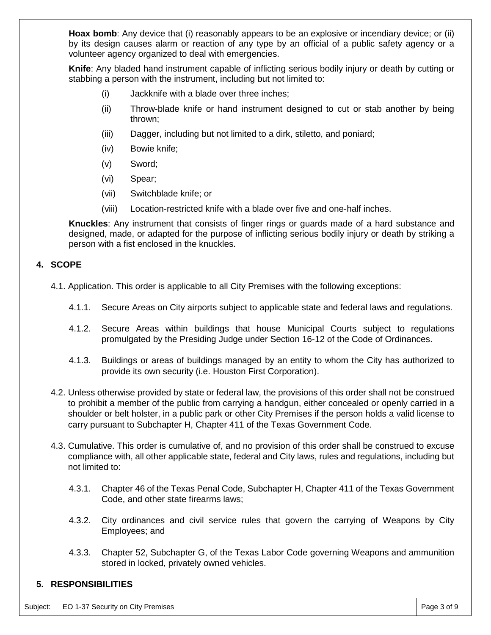**Hoax bomb**: Any device that (i) reasonably appears to be an explosive or incendiary device; or (ii) by its design causes alarm or reaction of any type by an official of a public safety agency or a volunteer agency organized to deal with emergencies.

**Knife**: Any bladed hand instrument capable of inflicting serious bodily injury or death by cutting or stabbing a person with the instrument, including but not limited to:

- (i) Jackknife with a blade over three inches;
- (ii) Throw-blade knife or hand instrument designed to cut or stab another by being thrown;
- (iii) Dagger, including but not limited to a dirk, stiletto, and poniard;
- (iv) Bowie knife;
- (v) Sword;
- (vi) Spear;
- (vii) Switchblade knife; or
- (viii) Location-restricted knife with a blade over five and one-half inches.

**Knuckles**: Any instrument that consists of finger rings or guards made of a hard substance and designed, made, or adapted for the purpose of inflicting serious bodily injury or death by striking a person with a fist enclosed in the knuckles.

#### **4. SCOPE**

- 4.1. Application. This order is applicable to all City Premises with the following exceptions:
	- 4.1.1. Secure Areas on City airports subject to applicable state and federal laws and regulations.
	- 4.1.2. Secure Areas within buildings that house Municipal Courts subject to regulations promulgated by the Presiding Judge under Section 16-12 of the Code of Ordinances.
	- 4.1.3. Buildings or areas of buildings managed by an entity to whom the City has authorized to provide its own security (i.e. Houston First Corporation).
- 4.2. Unless otherwise provided by state or federal law, the provisions of this order shall not be construed to prohibit a member of the public from carrying a handgun, either concealed or openly carried in a shoulder or belt holster, in a public park or other City Premises if the person holds a valid license to carry pursuant to Subchapter H, Chapter 411 of the Texas Government Code.
- 4.3. Cumulative. This order is cumulative of, and no provision of this order shall be construed to excuse compliance with, all other applicable state, federal and City laws, rules and regulations, including but not limited to:
	- 4.3.1. Chapter 46 of the Texas Penal Code, Subchapter H, Chapter 411 of the Texas Government Code, and other state firearms laws;
	- 4.3.2. City ordinances and civil service rules that govern the carrying of Weapons by City Employees; and
	- 4.3.3. Chapter 52, Subchapter G, of the Texas Labor Code governing Weapons and ammunition stored in locked, privately owned vehicles.

# **5. RESPONSIBILITIES**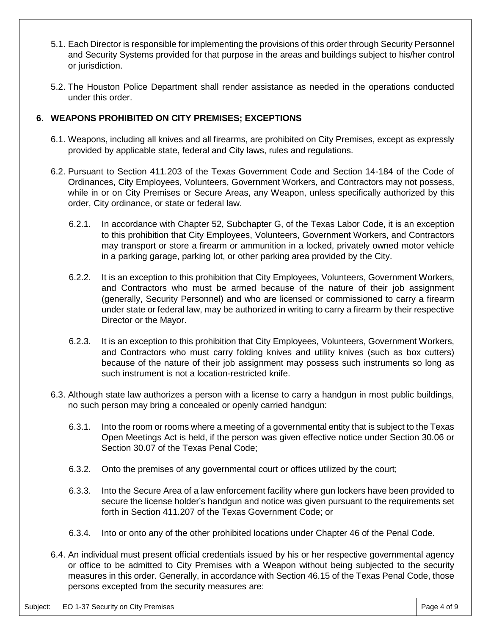- 5.1. Each Director is responsible for implementing the provisions of this order through Security Personnel and Security Systems provided for that purpose in the areas and buildings subject to his/her control or jurisdiction.
- 5.2. The Houston Police Department shall render assistance as needed in the operations conducted under this order.

#### **6. WEAPONS PROHIBITED ON CITY PREMISES; EXCEPTIONS**

- 6.1. Weapons, including all knives and all firearms, are prohibited on City Premises, except as expressly provided by applicable state, federal and City laws, rules and regulations.
- 6.2. Pursuant to Section 411.203 of the Texas Government Code and Section 14-184 of the Code of Ordinances, City Employees, Volunteers, Government Workers, and Contractors may not possess, while in or on City Premises or Secure Areas, any Weapon, unless specifically authorized by this order, City ordinance, or state or federal law.
	- 6.2.1. In accordance with Chapter 52, Subchapter G, of the Texas Labor Code, it is an exception to this prohibition that City Employees, Volunteers, Government Workers, and Contractors may transport or store a firearm or ammunition in a locked, privately owned motor vehicle in a parking garage, parking lot, or other parking area provided by the City.
	- 6.2.2. It is an exception to this prohibition that City Employees, Volunteers, Government Workers, and Contractors who must be armed because of the nature of their job assignment (generally, Security Personnel) and who are licensed or commissioned to carry a firearm under state or federal law, may be authorized in writing to carry a firearm by their respective Director or the Mayor.
	- 6.2.3. It is an exception to this prohibition that City Employees, Volunteers, Government Workers, and Contractors who must carry folding knives and utility knives (such as box cutters) because of the nature of their job assignment may possess such instruments so long as such instrument is not a location-restricted knife.
- 6.3. Although state law authorizes a person with a license to carry a handgun in most public buildings, no such person may bring a concealed or openly carried handgun:
	- 6.3.1. Into the room or rooms where a meeting of a governmental entity that is subject to the Texas Open Meetings Act is held, if the person was given effective notice under Section 30.06 or Section 30.07 of the Texas Penal Code;
	- 6.3.2. Onto the premises of any governmental court or offices utilized by the court;
	- 6.3.3. Into the Secure Area of a law enforcement facility where gun lockers have been provided to secure the license holder's handgun and notice was given pursuant to the requirements set forth in Section 411.207 of the Texas Government Code; or
	- 6.3.4. Into or onto any of the other prohibited locations under Chapter 46 of the Penal Code.
- 6.4. An individual must present official credentials issued by his or her respective governmental agency or office to be admitted to City Premises with a Weapon without being subjected to the security measures in this order. Generally, in accordance with Section 46.15 of the Texas Penal Code, those persons excepted from the security measures are: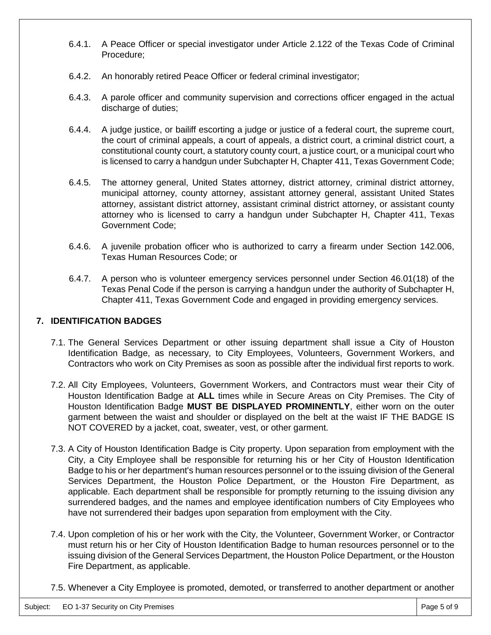- 6.4.1. A Peace Officer or special investigator under Article 2.122 of the Texas Code of Criminal Procedure;
- 6.4.2. An honorably retired Peace Officer or federal criminal investigator;
- 6.4.3. A parole officer and community supervision and corrections officer engaged in the actual discharge of duties;
- 6.4.4. A judge justice, or bailiff escorting a judge or justice of a federal court, the supreme court, the court of criminal appeals, a court of appeals, a district court, a criminal district court, a constitutional county court, a statutory county court, a justice court, or a municipal court who is licensed to carry a handgun under Subchapter H, Chapter 411, Texas Government Code;
- 6.4.5. The attorney general, United States attorney, district attorney, criminal district attorney, municipal attorney, county attorney, assistant attorney general, assistant United States attorney, assistant district attorney, assistant criminal district attorney, or assistant county attorney who is licensed to carry a handgun under Subchapter H, Chapter 411, Texas Government Code;
- 6.4.6. A juvenile probation officer who is authorized to carry a firearm under Section 142.006, Texas Human Resources Code; or
- 6.4.7. A person who is volunteer emergency services personnel under Section 46.01(18) of the Texas Penal Code if the person is carrying a handgun under the authority of Subchapter H, Chapter 411, Texas Government Code and engaged in providing emergency services.

# **7. IDENTIFICATION BADGES**

- 7.1. The General Services Department or other issuing department shall issue a City of Houston Identification Badge, as necessary, to City Employees, Volunteers, Government Workers, and Contractors who work on City Premises as soon as possible after the individual first reports to work.
- 7.2. All City Employees, Volunteers, Government Workers, and Contractors must wear their City of Houston Identification Badge at **ALL** times while in Secure Areas on City Premises. The City of Houston Identification Badge **MUST BE DISPLAYED PROMINENTLY**, either worn on the outer garment between the waist and shoulder or displayed on the belt at the waist IF THE BADGE IS NOT COVERED by a jacket, coat, sweater, vest, or other garment.
- 7.3. A City of Houston Identification Badge is City property. Upon separation from employment with the City, a City Employee shall be responsible for returning his or her City of Houston Identification Badge to his or her department's human resources personnel or to the issuing division of the General Services Department, the Houston Police Department, or the Houston Fire Department, as applicable. Each department shall be responsible for promptly returning to the issuing division any surrendered badges, and the names and employee identification numbers of City Employees who have not surrendered their badges upon separation from employment with the City.
- 7.4. Upon completion of his or her work with the City, the Volunteer, Government Worker, or Contractor must return his or her City of Houston Identification Badge to human resources personnel or to the issuing division of the General Services Department, the Houston Police Department, or the Houston Fire Department, as applicable.
- 7.5. Whenever a City Employee is promoted, demoted, or transferred to another department or another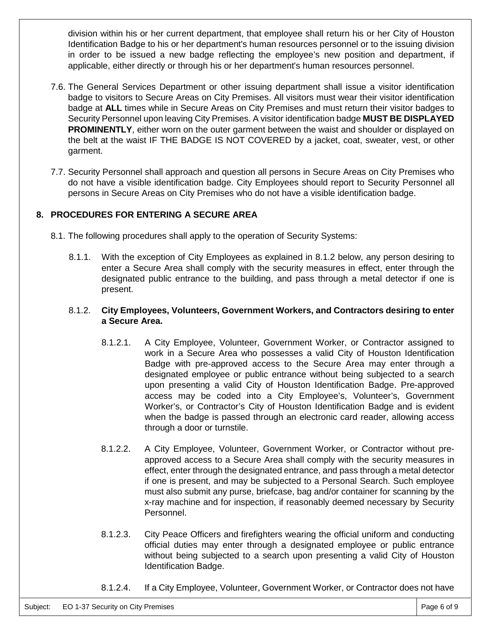division within his or her current department, that employee shall return his or her City of Houston Identification Badge to his or her department's human resources personnel or to the issuing division in order to be issued a new badge reflecting the employee's new position and department, if applicable, either directly or through his or her department's human resources personnel.

- 7.6. The General Services Department or other issuing department shall issue a visitor identification badge to visitors to Secure Areas on City Premises. All visitors must wear their visitor identification badge at **ALL** times while in Secure Areas on City Premises and must return their visitor badges to Security Personnel upon leaving City Premises. A visitor identification badge **MUST BE DISPLAYED PROMINENTLY**, either worn on the outer garment between the waist and shoulder or displayed on the belt at the waist IF THE BADGE IS NOT COVERED by a jacket, coat, sweater, vest, or other garment.
- 7.7. Security Personnel shall approach and question all persons in Secure Areas on City Premises who do not have a visible identification badge. City Employees should report to Security Personnel all persons in Secure Areas on City Premises who do not have a visible identification badge.

# **8. PROCEDURES FOR ENTERING A SECURE AREA**

- 8.1. The following procedures shall apply to the operation of Security Systems:
	- 8.1.1. With the exception of City Employees as explained in 8.1.2 below, any person desiring to enter a Secure Area shall comply with the security measures in effect, enter through the designated public entrance to the building, and pass through a metal detector if one is present.

#### 8.1.2. **City Employees, Volunteers, Government Workers, and Contractors desiring to enter a Secure Area.**

- 8.1.2.1. A City Employee, Volunteer, Government Worker, or Contractor assigned to work in a Secure Area who possesses a valid City of Houston Identification Badge with pre-approved access to the Secure Area may enter through a designated employee or public entrance without being subjected to a search upon presenting a valid City of Houston Identification Badge. Pre-approved access may be coded into a City Employee's, Volunteer's, Government Worker's, or Contractor's City of Houston Identification Badge and is evident when the badge is passed through an electronic card reader, allowing access through a door or turnstile.
- 8.1.2.2. A City Employee, Volunteer, Government Worker, or Contractor without preapproved access to a Secure Area shall comply with the security measures in effect, enter through the designated entrance, and pass through a metal detector if one is present, and may be subjected to a Personal Search. Such employee must also submit any purse, briefcase, bag and/or container for scanning by the x-ray machine and for inspection, if reasonably deemed necessary by Security Personnel.
- 8.1.2.3. City Peace Officers and firefighters wearing the official uniform and conducting official duties may enter through a designated employee or public entrance without being subjected to a search upon presenting a valid City of Houston Identification Badge.
- 8.1.2.4. If a City Employee, Volunteer, Government Worker, or Contractor does not have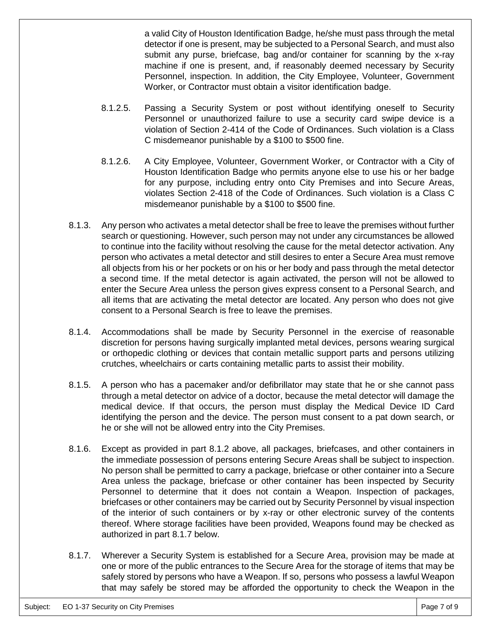a valid City of Houston Identification Badge, he/she must pass through the metal detector if one is present, may be subjected to a Personal Search, and must also submit any purse, briefcase, bag and/or container for scanning by the x-ray machine if one is present, and, if reasonably deemed necessary by Security Personnel, inspection. In addition, the City Employee, Volunteer, Government Worker, or Contractor must obtain a visitor identification badge.

- 8.1.2.5. Passing a Security System or post without identifying oneself to Security Personnel or unauthorized failure to use a security card swipe device is a violation of Section 2-414 of the Code of Ordinances. Such violation is a Class C misdemeanor punishable by a \$100 to \$500 fine.
- 8.1.2.6. A City Employee, Volunteer, Government Worker, or Contractor with a City of Houston Identification Badge who permits anyone else to use his or her badge for any purpose, including entry onto City Premises and into Secure Areas, violates Section 2-418 of the Code of Ordinances. Such violation is a Class C misdemeanor punishable by a \$100 to \$500 fine.
- 8.1.3. Any person who activates a metal detector shall be free to leave the premises without further search or questioning. However, such person may not under any circumstances be allowed to continue into the facility without resolving the cause for the metal detector activation. Any person who activates a metal detector and still desires to enter a Secure Area must remove all objects from his or her pockets or on his or her body and pass through the metal detector a second time. If the metal detector is again activated, the person will not be allowed to enter the Secure Area unless the person gives express consent to a Personal Search, and all items that are activating the metal detector are located. Any person who does not give consent to a Personal Search is free to leave the premises.
- 8.1.4. Accommodations shall be made by Security Personnel in the exercise of reasonable discretion for persons having surgically implanted metal devices, persons wearing surgical or orthopedic clothing or devices that contain metallic support parts and persons utilizing crutches, wheelchairs or carts containing metallic parts to assist their mobility.
- 8.1.5. A person who has a pacemaker and/or defibrillator may state that he or she cannot pass through a metal detector on advice of a doctor, because the metal detector will damage the medical device. If that occurs, the person must display the Medical Device ID Card identifying the person and the device. The person must consent to a pat down search, or he or she will not be allowed entry into the City Premises.
- 8.1.6. Except as provided in part 8.1.2 above, all packages, briefcases, and other containers in the immediate possession of persons entering Secure Areas shall be subject to inspection. No person shall be permitted to carry a package, briefcase or other container into a Secure Area unless the package, briefcase or other container has been inspected by Security Personnel to determine that it does not contain a Weapon. Inspection of packages, briefcases or other containers may be carried out by Security Personnel by visual inspection of the interior of such containers or by x-ray or other electronic survey of the contents thereof. Where storage facilities have been provided, Weapons found may be checked as authorized in part 8.1.7 below.
- 8.1.7. Wherever a Security System is established for a Secure Area, provision may be made at one or more of the public entrances to the Secure Area for the storage of items that may be safely stored by persons who have a Weapon. If so, persons who possess a lawful Weapon that may safely be stored may be afforded the opportunity to check the Weapon in the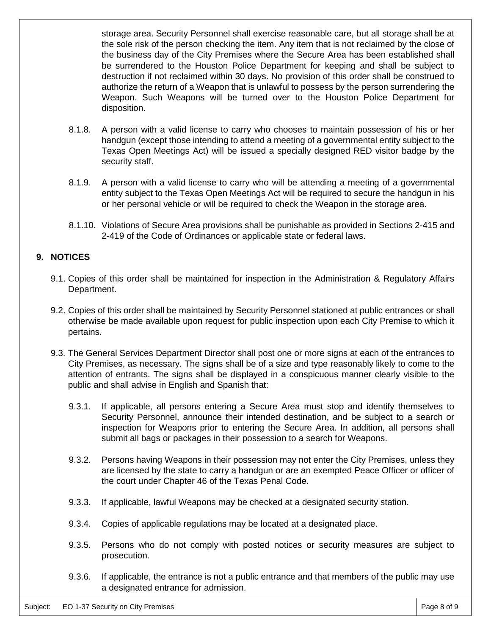storage area. Security Personnel shall exercise reasonable care, but all storage shall be at the sole risk of the person checking the item. Any item that is not reclaimed by the close of the business day of the City Premises where the Secure Area has been established shall be surrendered to the Houston Police Department for keeping and shall be subject to destruction if not reclaimed within 30 days. No provision of this order shall be construed to authorize the return of a Weapon that is unlawful to possess by the person surrendering the Weapon. Such Weapons will be turned over to the Houston Police Department for disposition.

- 8.1.8. A person with a valid license to carry who chooses to maintain possession of his or her handgun (except those intending to attend a meeting of a governmental entity subject to the Texas Open Meetings Act) will be issued a specially designed RED visitor badge by the security staff.
- 8.1.9. A person with a valid license to carry who will be attending a meeting of a governmental entity subject to the Texas Open Meetings Act will be required to secure the handgun in his or her personal vehicle or will be required to check the Weapon in the storage area.
- 8.1.10. Violations of Secure Area provisions shall be punishable as provided in Sections 2-415 and 2-419 of the Code of Ordinances or applicable state or federal laws.

#### **9. NOTICES**

- 9.1. Copies of this order shall be maintained for inspection in the Administration & Regulatory Affairs Department.
- 9.2. Copies of this order shall be maintained by Security Personnel stationed at public entrances or shall otherwise be made available upon request for public inspection upon each City Premise to which it pertains.
- 9.3. The General Services Department Director shall post one or more signs at each of the entrances to City Premises, as necessary. The signs shall be of a size and type reasonably likely to come to the attention of entrants. The signs shall be displayed in a conspicuous manner clearly visible to the public and shall advise in English and Spanish that:
	- 9.3.1. If applicable, all persons entering a Secure Area must stop and identify themselves to Security Personnel, announce their intended destination, and be subject to a search or inspection for Weapons prior to entering the Secure Area. In addition, all persons shall submit all bags or packages in their possession to a search for Weapons.
	- 9.3.2. Persons having Weapons in their possession may not enter the City Premises, unless they are licensed by the state to carry a handgun or are an exempted Peace Officer or officer of the court under Chapter 46 of the Texas Penal Code.
	- 9.3.3. If applicable, lawful Weapons may be checked at a designated security station.
	- 9.3.4. Copies of applicable regulations may be located at a designated place.
	- 9.3.5. Persons who do not comply with posted notices or security measures are subject to prosecution.
	- 9.3.6. If applicable, the entrance is not a public entrance and that members of the public may use a designated entrance for admission.